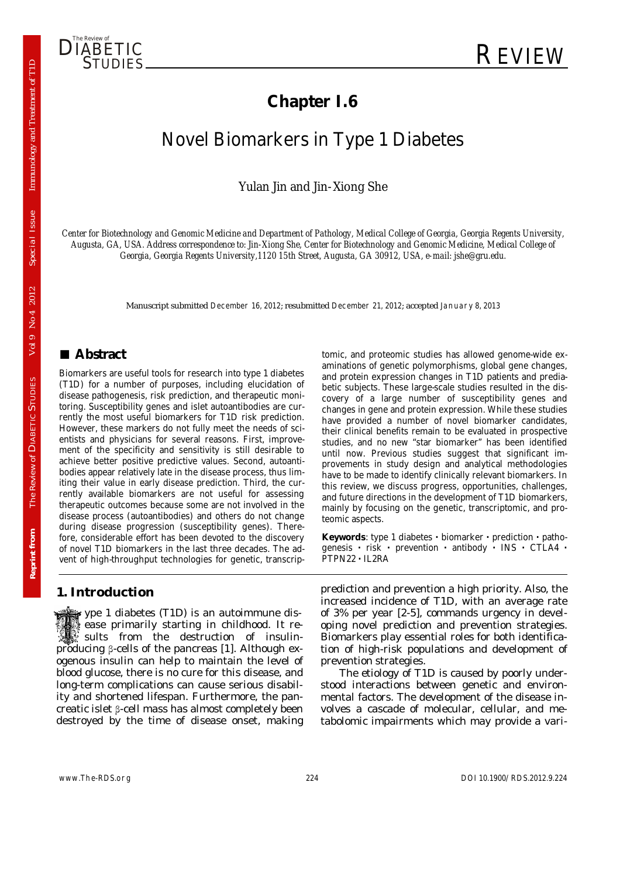

# **Chapter I.6**

# Novel Biomarkers in Type 1 Diabetes

Yulan Jin and Jin-Xiong She

*Center for Biotechnology and Genomic Medicine and Department of Pathology, Medical College of Georgia, Georgia Regents University, Augusta, GA, USA. Address correspondence to: Jin-Xiong She, Center for Biotechnology and Genomic Medicine, Medical College of Georgia, Georgia Regents University,1120 15th Street, Augusta, GA 30912, USA, e-mail: jshe@gru.edu.* 

Manuscript submitted December 16, 2012; resubmitted December 21, 2012; accepted January 8, 2013

## **■ Abstract**

Biomarkers are useful tools for research into type 1 diabetes (T1D) for a number of purposes, including elucidation of disease pathogenesis, risk prediction, and therapeutic monitoring. Susceptibility genes and islet autoantibodies are currently the most useful biomarkers for T1D risk prediction. However, these markers do not fully meet the needs of scientists and physicians for several reasons. First, improvement of the specificity and sensitivity is still desirable to achieve better positive predictive values. Second, autoantibodies appear relatively late in the disease process, thus limiting their value in early disease prediction. Third, the currently available biomarkers are not useful for assessing therapeutic outcomes because some are not involved in the disease process (autoantibodies) and others do not change during disease progression (susceptibility genes). Therefore, considerable effort has been devoted to the discovery of novel T1D biomarkers in the last three decades. The advent of high-throughput technologies for genetic, transcrip-

#### **1. Introduction**

 ype 1 diabetes (T1D) is an autoimmune dis ease primarily starting in childhood. It re sults from the destruction of insulinproducing β-cells of the pancreas [1]. Although exogenous insulin can help to maintain the level of blood glucose, there is no cure for this disease, and long-term complications can cause serious disability and shortened lifespan. Furthermore, the pancreatic islet β-cell mass has almost completely been destroyed by the time of disease onset, making tomic, and proteomic studies has allowed genome-wide examinations of genetic polymorphisms, global gene changes, and protein expression changes in T1D patients and prediabetic subjects. These large-scale studies resulted in the discovery of a large number of susceptibility genes and changes in gene and protein expression. While these studies have provided a number of novel biomarker candidates, their clinical benefits remain to be evaluated in prospective studies, and no new "star biomarker" has been identified until now. Previous studies suggest that significant improvements in study design and analytical methodologies have to be made to identify clinically relevant biomarkers. In this review, we discuss progress, opportunities, challenges, and future directions in the development of T1D biomarkers, mainly by focusing on the genetic, transcriptomic, and proteomic aspects.

**Keywords**: type 1 diabetes **·** biomarker **·** prediction **·** pathogenesis **·** risk **·** prevention **·** antibody **·** INS **·** CTLA4 **·** PTPN22 **·** IL2RA

prediction and prevention a high priority. Also, the increased incidence of T1D, with an average rate of 3% per year [2-5], commands urgency in developing novel prediction and prevention strategies. Biomarkers play essential roles for both identification of high-risk populations and development of prevention strategies.

The etiology of T1D is caused by poorly understood interactions between genetic and environmental factors. The development of the disease involves a cascade of molecular, cellular, and metabolomic impairments which may provide a vari-

Special Issue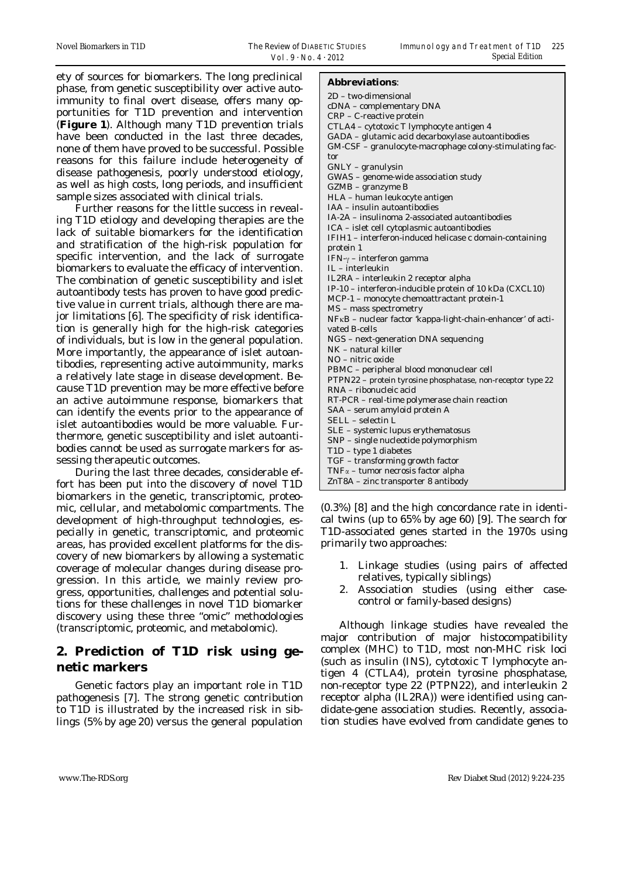ety of sources for biomarkers. The long preclinical phase, from genetic susceptibility over active autoimmunity to final overt disease, offers many opportunities for T1D prevention and intervention (**Figure 1**). Although many T1D prevention trials have been conducted in the last three decades, none of them have proved to be successful. Possible reasons for this failure include heterogeneity of disease pathogenesis, poorly understood etiology, as well as high costs, long periods, and insufficient sample sizes associated with clinical trials.

Further reasons for the little success in revealing T1D etiology and developing therapies are the lack of suitable biomarkers for the identification and stratification of the high-risk population for specific intervention, and the lack of surrogate biomarkers to evaluate the efficacy of intervention. The combination of genetic susceptibility and islet autoantibody tests has proven to have good predictive value in current trials, although there are major limitations [6]. The specificity of risk identification is generally high for the high-risk categories of individuals, but is low in the general population. More importantly, the appearance of islet autoantibodies, representing active autoimmunity, marks a relatively late stage in disease development. Because T1D prevention may be more effective before an active autoimmune response, biomarkers that can identify the events prior to the appearance of islet autoantibodies would be more valuable. Furthermore, genetic susceptibility and islet autoantibodies cannot be used as surrogate markers for assessing therapeutic outcomes.

During the last three decades, considerable effort has been put into the discovery of novel T1D biomarkers in the genetic, transcriptomic, proteomic, cellular, and metabolomic compartments. The development of high-throughput technologies, especially in genetic, transcriptomic, and proteomic areas, has provided excellent platforms for the discovery of new biomarkers by allowing a systematic coverage of molecular changes during disease progression. In this article, we mainly review progress, opportunities, challenges and potential solutions for these challenges in novel T1D biomarker discovery using these three "omic" methodologies (transcriptomic, proteomic, and metabolomic).

## **2. Prediction of T1D risk using genetic markers**

Genetic factors play an important role in T1D pathogenesis [7]. The strong genetic contribution to T1D is illustrated by the increased risk in siblings (5% by age 20) versus the general population

#### **Abbreviations**:

| 2D - two-dimensional                                        |
|-------------------------------------------------------------|
| cDNA - complementary DNA                                    |
| CRP - C-reactive protein                                    |
| CTLA4 - cytotoxic T lymphocyte antigen 4                    |
| GADA - glutamic acid decarboxylase autoantibodies           |
| GM-CSF - granulocyte-macrophage colony-stimulating fac-     |
| tor                                                         |
| $GNLY - granulysin$                                         |
| GWAS - genome-wide association study                        |
| GZMB - granzyme B                                           |
| HLA - human leukocyte antigen                               |
| IAA - insulin autoantibodies                                |
| IA-2A - insulinoma 2-associated autoantibodies              |
| ICA - islet cell cytoplasmic autoantibodies                 |
| IFIH1 - interferon-induced helicase c domain-containing     |
| protein 1                                                   |
| IFN- $\gamma$ – interferon gamma                            |
| IL - interleukin                                            |
| IL2RA - interleukin 2 receptor alpha                        |
| IP-10 - interferon-inducible protein of 10 kDa (CXCL10)     |
| MCP-1 - monocyte chemoattractant protein-1                  |
| MS - mass spectrometry                                      |
| NFKB - nuclear factor 'kappa-light-chain-enhancer' of acti- |
| vated B-cells                                               |
| NGS - next-generation DNA sequencing                        |
| NK - natural killer                                         |
| NO – nitric oxide                                           |
| PBMC - peripheral blood mononuclear cell                    |
| PTPN22 - protein tyrosine phosphatase, non-receptor type 22 |
| RNA - ribonucleic acid                                      |
| RT-PCR - real-time polymerase chain reaction                |
| SAA - serum amyloid protein A                               |
| SELL - selectin L                                           |
| SLE - systemic lupus erythematosus                          |
| SNP - single nucleotide polymorphism                        |
| T1D - type 1 diabetes                                       |
| TGF - transforming growth factor                            |
| $TNF\alpha$ – tumor necrosis factor alpha                   |
| ZnT8A - zinc transporter 8 antibody                         |
|                                                             |

(0.3%) [8] and the high concordance rate in identical twins (up to 65% by age 60) [9]. The search for T1D-associated genes started in the 1970s using primarily two approaches:

- 1. Linkage studies (using pairs of affected relatives, typically siblings)
- 2. Association studies (using either casecontrol or family-based designs)

Although linkage studies have revealed the major contribution of major histocompatibility complex (MHC) to T1D, most non-MHC risk loci (such as insulin (INS), cytotoxic T lymphocyte antigen 4 (CTLA4), protein tyrosine phosphatase, non-receptor type 22 (PTPN22), and interleukin 2 receptor alpha (IL2RA)) were identified using candidate-gene association studies. Recently, association studies have evolved from candidate genes to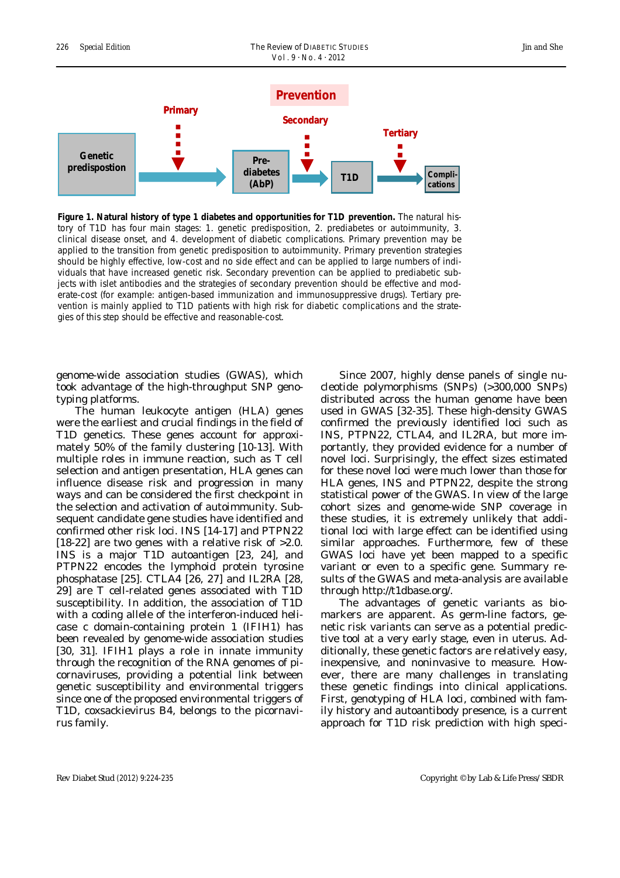

**Figure 1. Natural history of type 1 diabetes and opportunities for T1D prevention.** The natural history of T1D has four main stages: 1. genetic predisposition, 2. prediabetes or autoimmunity, 3. clinical disease onset, and 4. development of diabetic complications. Primary prevention may be applied to the transition from genetic predisposition to autoimmunity. Primary prevention strategies should be highly effective, low-cost and no side effect and can be applied to large numbers of individuals that have increased genetic risk. Secondary prevention can be applied to prediabetic subjects with islet antibodies and the strategies of secondary prevention should be effective and moderate-cost (for example: antigen-based immunization and immunosuppressive drugs). Tertiary prevention is mainly applied to T1D patients with high risk for diabetic complications and the strategies of this step should be effective and reasonable-cost.

genome-wide association studies (GWAS), which took advantage of the high-throughput SNP genotyping platforms.

The human leukocyte antigen (HLA) genes were the earliest and crucial findings in the field of T1D genetics. These genes account for approximately 50% of the family clustering [10-13]. With multiple roles in immune reaction, such as T cell selection and antigen presentation, HLA genes can influence disease risk and progression in many ways and can be considered the first checkpoint in the selection and activation of autoimmunity. Subsequent candidate gene studies have identified and confirmed other risk loci. *INS* [14-17] and *PTPN22* [18-22] are two genes with a relative risk of >2.0. INS is a major T1D autoantigen [23, 24], and *PTPN22* encodes the lymphoid protein tyrosine phosphatase [25]. *CTLA4* [26, 27] and *IL2RA* [28, 29] are T cell-related genes associated with T1D susceptibility. In addition, the association of T1D with a coding allele of the interferon-induced helicase c domain-containing protein 1 (*IFIH1*) has been revealed by genome-wide association studies [30, 31]. IFIH1 plays a role in innate immunity through the recognition of the RNA genomes of picornaviruses, providing a potential link between genetic susceptibility and environmental triggers since one of the proposed environmental triggers of T1D, coxsackievirus B4, belongs to the picornavirus family.

Since 2007, highly dense panels of single nucleotide polymorphisms (SNPs) (>300,000 SNPs) distributed across the human genome have been used in GWAS [32-35]. These high-density GWAS confirmed the previously identified loci such as *INS*, *PTPN22*, *CTLA4*, and *IL2RA*, but more importantly, they provided evidence for a number of novel loci. Surprisingly, the effect sizes estimated for these novel loci were much lower than those for HLA genes, *INS* and *PTPN22*, despite the strong statistical power of the GWAS. In view of the large cohort sizes and genome-wide SNP coverage in these studies, it is extremely unlikely that additional loci with large effect can be identified using similar approaches. Furthermore, few of these GWAS loci have yet been mapped to a specific variant or even to a specific gene. Summary results of the GWAS and meta-analysis are available through http://t1dbase.org/.

The advantages of genetic variants as biomarkers are apparent. As germ-line factors, genetic risk variants can serve as a potential predictive tool at a very early stage, even in uterus. Additionally, these genetic factors are relatively easy, inexpensive, and noninvasive to measure. However, there are many challenges in translating these genetic findings into clinical applications. First, genotyping of HLA loci, combined with family history and autoantibody presence, is a current approach for T1D risk prediction with high speci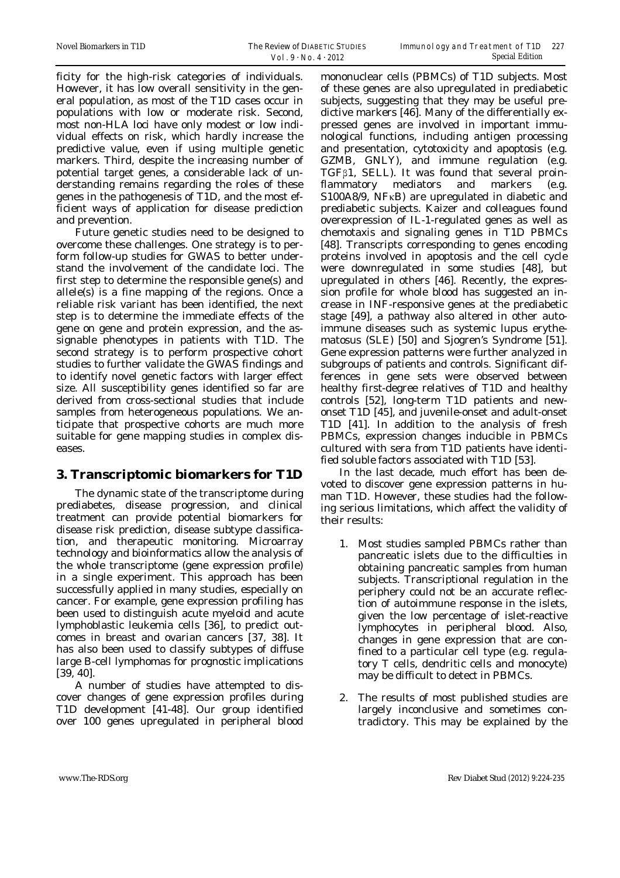ficity for the high-risk categories of individuals. However, it has low overall sensitivity in the general population, as most of the T1D cases occur in populations with low or moderate risk. Second, most non-HLA loci have only modest or low individual effects on risk, which hardly increase the predictive value, even if using multiple genetic markers. Third, despite the increasing number of potential target genes, a considerable lack of understanding remains regarding the roles of these genes in the pathogenesis of T1D, and the most efficient ways of application for disease prediction and prevention.

Future genetic studies need to be designed to overcome these challenges. One strategy is to perform follow-up studies for GWAS to better understand the involvement of the candidate loci. The first step to determine the responsible gene(s) and allele(s) is a fine mapping of the regions. Once a reliable risk variant has been identified, the next step is to determine the immediate effects of the gene on gene and protein expression, and the assignable phenotypes in patients with T1D. The second strategy is to perform prospective cohort studies to further validate the GWAS findings and to identify novel genetic factors with larger effect size. All susceptibility genes identified so far are derived from cross-sectional studies that include samples from heterogeneous populations. We anticipate that prospective cohorts are much more suitable for gene mapping studies in complex diseases.

### **3. Transcriptomic biomarkers for T1D**

The dynamic state of the transcriptome during prediabetes, disease progression, and clinical treatment can provide potential biomarkers for disease risk prediction, disease subtype classification, and therapeutic monitoring. Microarray technology and bioinformatics allow the analysis of the whole transcriptome (gene expression profile) in a single experiment. This approach has been successfully applied in many studies, especially on cancer. For example, gene expression profiling has been used to distinguish acute myeloid and acute lymphoblastic leukemia cells [36], to predict outcomes in breast and ovarian cancers [37, 38]. It has also been used to classify subtypes of diffuse large B-cell lymphomas for prognostic implications [39, 40].

A number of studies have attempted to discover changes of gene expression profiles during T1D development [41-48]. Our group identified over 100 genes upregulated in peripheral blood mononuclear cells (PBMCs) of T1D subjects. Most of these genes are also upregulated in prediabetic subjects, suggesting that they may be useful predictive markers [46]. Many of the differentially expressed genes are involved in important immunological functions, including antigen processing and presentation, cytotoxicity and apoptosis (e.g. GZMB, GNLY), and immune regulation (e.g. TGFβ1, SELL). It was found that several proinflammatory mediators and markers (e.g. S100A8/9, NFκB) are upregulated in diabetic and prediabetic subjects. Kaizer and colleagues found overexpression of IL-1-regulated genes as well as chemotaxis and signaling genes in T1D PBMCs [48]. Transcripts corresponding to genes encoding proteins involved in apoptosis and the cell cycle were downregulated in some studies [48], but upregulated in others [46]. Recently, the expression profile for whole blood has suggested an increase in INF-responsive genes at the prediabetic stage [49], a pathway also altered in other autoimmune diseases such as systemic lupus erythematosus (SLE) [50] and Sjogren's Syndrome [51]. Gene expression patterns were further analyzed in subgroups of patients and controls. Significant differences in gene sets were observed between healthy first-degree relatives of T1D and healthy controls [52], long-term T1D patients and newonset T1D [45], and juvenile-onset and adult-onset T1D [41]. In addition to the analysis of fresh PBMCs, expression changes inducible in PBMCs cultured with sera from T1D patients have identified soluble factors associated with T1D [53].

In the last decade, much effort has been devoted to discover gene expression patterns in human T1D. However, these studies had the following serious limitations, which affect the validity of their results:

- 1. Most studies sampled PBMCs rather than pancreatic islets due to the difficulties in obtaining pancreatic samples from human subjects. Transcriptional regulation in the periphery could not be an accurate reflection of autoimmune response in the islets, given the low percentage of islet-reactive lymphocytes in peripheral blood. Also, changes in gene expression that are confined to a particular cell type (e.g. regulatory T cells, dendritic cells and monocyte) may be difficult to detect in PBMCs.
- 2. The results of most published studies are largely inconclusive and sometimes contradictory. This may be explained by the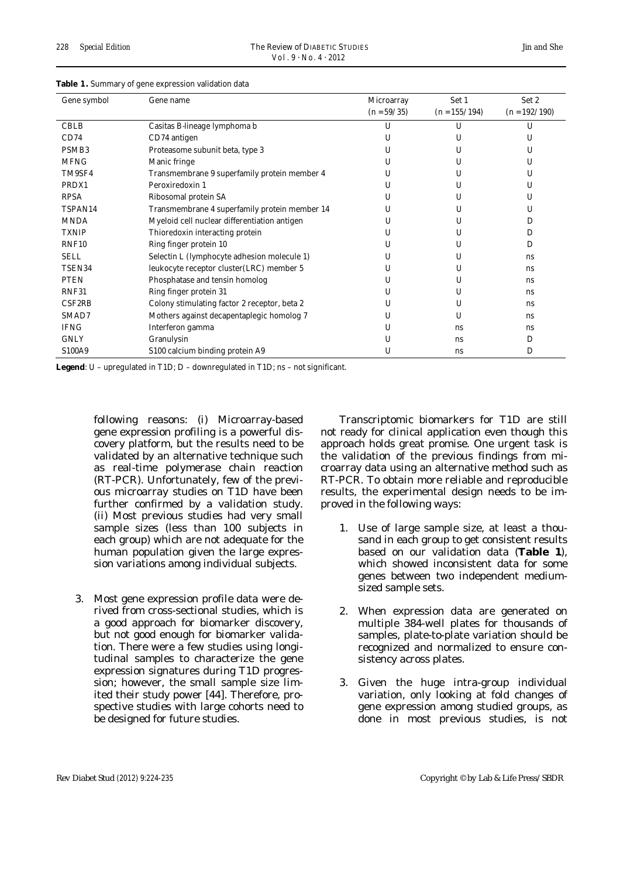| Gene symbol         | Gene name                                     | Microarray<br>$(n = 59/35)$ | Set 1<br>$(n = 155/194)$ | Set 2<br>$(n = 192/190)$ |
|---------------------|-----------------------------------------------|-----------------------------|--------------------------|--------------------------|
| <b>CBLB</b>         | Casitas B-lineage lymphoma b                  | U                           | U                        | U                        |
| CD74                | CD74 antigen                                  | U                           | U                        | U                        |
| PSMB <sub>3</sub>   | Proteasome subunit beta, type 3               | U                           | U                        | U                        |
| <b>MFNG</b>         | Manic fringe                                  | U                           | U                        | U                        |
| TM9SF4              | Transmembrane 9 superfamily protein member 4  | U                           | U                        | U                        |
| PRDX1               | Peroxiredoxin 1                               | U                           | U                        | U                        |
| <b>RPSA</b>         | Ribosomal protein SA                          | U                           | U                        | U                        |
| TSPAN14             | Transmembrane 4 superfamily protein member 14 | U                           | U                        | $\mathbf{U}$             |
| <b>MNDA</b>         | Myeloid cell nuclear differentiation antigen  | U                           | U                        | D                        |
| <b>TXNIP</b>        | Thioredoxin interacting protein               | U                           | U                        | D                        |
| RNF10               | Ring finger protein 10                        | U                           | U                        | D                        |
| <b>SELL</b>         | Selectin L (lymphocyte adhesion molecule 1)   | U                           | U                        | ns                       |
| TSEN34              | leukocyte receptor cluster(LRC) member 5      | U                           | U                        | <b>ns</b>                |
| <b>PTEN</b>         | Phosphatase and tensin homolog                | U                           | U                        | ns                       |
| RNF31               | Ring finger protein 31                        | U                           | U                        | ns                       |
| CSF <sub>2</sub> RB | Colony stimulating factor 2 receptor, beta 2  | U                           | U                        | <b>ns</b>                |
| SMAD7               | Mothers against decapentaplegic homolog 7     | U                           | U                        | <b>ns</b>                |
| <b>IFNG</b>         | Interferon gamma                              | U                           | ns                       | <b>ns</b>                |
| <b>GNLY</b>         | Granulysin                                    | U                           | <b>ns</b>                | D                        |
| S100A9              | S100 calcium binding protein A9               | U                           | ns                       | D                        |

#### **Table 1.** Summary of gene expression validation data

**Legend**: U – upregulated in T1D; D – downregulated in T1D; ns – not significant.

following reasons: (*i*) Microarray-based gene expression profiling is a powerful discovery platform, but the results need to be validated by an alternative technique such as real-time polymerase chain reaction (RT-PCR). Unfortunately, few of the previous microarray studies on T1D have been further confirmed by a validation study. (*ii*) Most previous studies had very small sample sizes (less than 100 subjects in each group) which are not adequate for the human population given the large expression variations among individual subjects.

3. Most gene expression profile data were derived from cross-sectional studies, which is a good approach for biomarker discovery, but not good enough for biomarker validation. There were a few studies using longitudinal samples to characterize the gene expression signatures during T1D progression; however, the small sample size limited their study power [44]. Therefore, prospective studies with large cohorts need to be designed for future studies.

Transcriptomic biomarkers for T1D are still not ready for clinical application even though this approach holds great promise. One urgent task is the validation of the previous findings from microarray data using an alternative method such as RT-PCR. To obtain more reliable and reproducible results, the experimental design needs to be improved in the following ways:

- 1. Use of large sample size, at least a thousand in each group to get consistent results based on our validation data (**Table 1**), which showed inconsistent data for some genes between two independent mediumsized sample sets.
- 2. When expression data are generated on multiple 384-well plates for thousands of samples, plate-to-plate variation should be recognized and normalized to ensure consistency across plates.
- 3. Given the huge intra-group individual variation, only looking at fold changes of gene expression among studied groups, as done in most previous studies, is not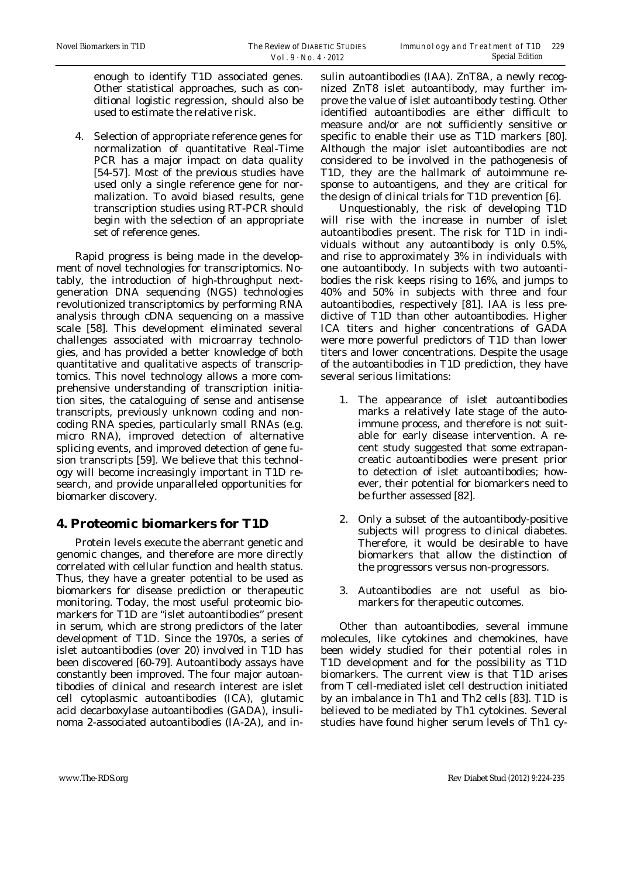enough to identify T1D associated genes. Other statistical approaches, such as conditional logistic regression, should also be used to estimate the relative risk.

4. Selection of appropriate reference genes for normalization of quantitative Real-Time PCR has a major impact on data quality [54-57]. Most of the previous studies have used only a single reference gene for normalization. To avoid biased results, gene transcription studies using RT-PCR should begin with the selection of an appropriate set of reference genes.

Rapid progress is being made in the development of novel technologies for transcriptomics. Notably, the introduction of high-throughput nextgeneration DNA sequencing (NGS) technologies revolutionized transcriptomics by performing RNA analysis through cDNA sequencing on a massive scale [58]. This development eliminated several challenges associated with microarray technologies, and has provided a better knowledge of both quantitative and qualitative aspects of transcriptomics. This novel technology allows a more comprehensive understanding of transcription initiation sites, the cataloguing of sense and antisense transcripts, previously unknown coding and noncoding RNA species, particularly small RNAs (e.g. micro RNA), improved detection of alternative splicing events, and improved detection of gene fusion transcripts [59]. We believe that this technology will become increasingly important in T1D research, and provide unparalleled opportunities for biomarker discovery.

### **4. Proteomic biomarkers for T1D**

Protein levels execute the aberrant genetic and genomic changes, and therefore are more directly correlated with cellular function and health status. Thus, they have a greater potential to be used as biomarkers for disease prediction or therapeutic monitoring. Today, the most useful proteomic biomarkers for T1D are "islet autoantibodies" present in serum, which are strong predictors of the later development of T1D. Since the 1970s, a series of islet autoantibodies (over 20) involved in T1D has been discovered [60-79]. Autoantibody assays have constantly been improved. The four major autoantibodies of clinical and research interest are islet cell cytoplasmic autoantibodies (ICA), glutamic acid decarboxylase autoantibodies (GADA), insulinoma 2-associated autoantibodies (IA-2A), and insulin autoantibodies (IAA). ZnT8A, a newly recognized ZnT8 islet autoantibody, may further improve the value of islet autoantibody testing. Other identified autoantibodies are either difficult to measure and/or are not sufficiently sensitive or specific to enable their use as T1D markers [80]. Although the major islet autoantibodies are not considered to be involved in the pathogenesis of T1D, they are the hallmark of autoimmune response to autoantigens, and they are critical for the design of clinical trials for T1D prevention [6].

Unquestionably, the risk of developing T1D will rise with the increase in number of islet autoantibodies present. The risk for T1D in individuals without any autoantibody is only 0.5%, and rise to approximately 3% in individuals with one autoantibody. In subjects with two autoantibodies the risk keeps rising to 16%, and jumps to 40% and 50% in subjects with three and four autoantibodies, respectively [81]. IAA is less predictive of T1D than other autoantibodies. Higher ICA titers and higher concentrations of GADA were more powerful predictors of T1D than lower titers and lower concentrations. Despite the usage of the autoantibodies in T1D prediction, they have several serious limitations:

- 1. The appearance of islet autoantibodies marks a relatively late stage of the autoimmune process, and therefore is not suitable for early disease intervention. A recent study suggested that some extrapancreatic autoantibodies were present prior to detection of islet autoantibodies; however, their potential for biomarkers need to be further assessed [82].
- 2. Only a subset of the autoantibody-positive subjects will progress to clinical diabetes. Therefore, it would be desirable to have biomarkers that allow the distinction of the progressors versus non-progressors.
- 3. Autoantibodies are not useful as biomarkers for therapeutic outcomes.

Other than autoantibodies, several immune molecules, like cytokines and chemokines, have been widely studied for their potential roles in T1D development and for the possibility as T1D biomarkers. The current view is that T1D arises from T cell-mediated islet cell destruction initiated by an imbalance in Th1 and Th2 cells [83]. T1D is believed to be mediated by Th1 cytokines. Several studies have found higher serum levels of Th1 cy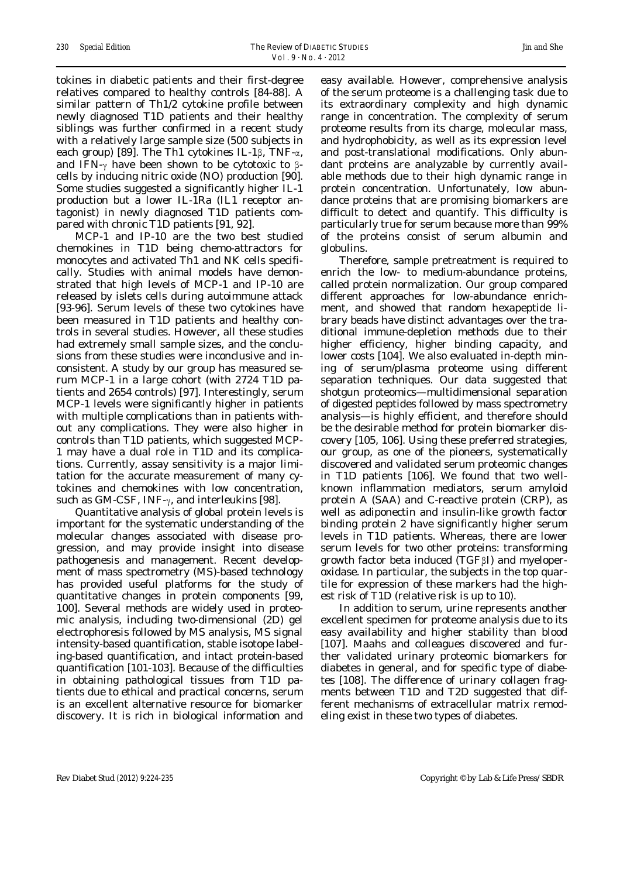tokines in diabetic patients and their first-degree relatives compared to healthy controls [84-88]. A similar pattern of Th1/2 cytokine profile between newly diagnosed T1D patients and their healthy siblings was further confirmed in a recent study with a relatively large sample size (500 subjects in each group) [89]. The Th1 cytokines IL-1β, TNF-α, and IFN- $\gamma$  have been shown to be cytotoxic to  $\beta$ cells by inducing nitric oxide (NO) production [90]. Some studies suggested a significantly higher IL-1 production but a lower IL-1Ra (IL1 receptor antagonist) in newly diagnosed T1D patients compared with chronic T1D patients [91, 92].

MCP-1 and IP-10 are the two best studied chemokines in T1D being chemo-attractors for monocytes and activated Th1 and NK cells specifically. Studies with animal models have demonstrated that high levels of MCP-1 and IP-10 are released by islets cells during autoimmune attack [93-96]. Serum levels of these two cytokines have been measured in T1D patients and healthy controls in several studies. However, all these studies had extremely small sample sizes, and the conclusions from these studies were inconclusive and inconsistent. A study by our group has measured serum MCP-1 in a large cohort (with 2724 T1D patients and 2654 controls) [97]. Interestingly, serum MCP-1 levels were significantly higher in patients with multiple complications than in patients without any complications. They were also higher in controls than T1D patients, which suggested MCP-1 may have a dual role in T1D and its complications. Currently, assay sensitivity is a major limitation for the accurate measurement of many cytokines and chemokines with low concentration, such as GM-CSF, INF- $\gamma$ , and interleukins [98].

Quantitative analysis of global protein levels is important for the systematic understanding of the molecular changes associated with disease progression, and may provide insight into disease pathogenesis and management. Recent development of mass spectrometry (MS)-based technology has provided useful platforms for the study of quantitative changes in protein components [99, 100]. Several methods are widely used in proteomic analysis, including two-dimensional (2D) gel electrophoresis followed by MS analysis, MS signal intensity-based quantification, stable isotope labeling-based quantification, and intact protein-based quantification [101-103]. Because of the difficulties in obtaining pathological tissues from T1D patients due to ethical and practical concerns, serum is an excellent alternative resource for biomarker discovery. It is rich in biological information and

easy available. However, comprehensive analysis of the serum proteome is a challenging task due to its extraordinary complexity and high dynamic range in concentration. The complexity of serum proteome results from its charge, molecular mass, and hydrophobicity, as well as its expression level and post-translational modifications. Only abundant proteins are analyzable by currently available methods due to their high dynamic range in protein concentration. Unfortunately, low abundance proteins that are promising biomarkers are difficult to detect and quantify. This difficulty is particularly true for serum because more than 99% of the proteins consist of serum albumin and globulins.

Therefore, sample pretreatment is required to enrich the low- to medium-abundance proteins, called protein normalization. Our group compared different approaches for low-abundance enrichment, and showed that random hexapeptide library beads have distinct advantages over the traditional immune-depletion methods due to their higher efficiency, higher binding capacity, and lower costs [104]. We also evaluated in-depth mining of serum/plasma proteome using different separation techniques. Our data suggested that shotgun proteomics—multidimensional separation of digested peptides followed by mass spectrometry analysis—is highly efficient, and therefore should be the desirable method for protein biomarker discovery [105, 106]. Using these preferred strategies, our group, as one of the pioneers, systematically discovered and validated serum proteomic changes in T1D patients [106]. We found that two wellknown inflammation mediators, serum amyloid protein A (SAA) and C-reactive protein (CRP), as well as adiponectin and insulin-like growth factor binding protein 2 have significantly higher serum levels in T1D patients. Whereas, there are lower serum levels for two other proteins: transforming growth factor beta induced (TGFβI) and myeloperoxidase. In particular, the subjects in the top quartile for expression of these markers had the highest risk of T1D (relative risk is up to 10).

In addition to serum, urine represents another excellent specimen for proteome analysis due to its easy availability and higher stability than blood [107]. Maahs and colleagues discovered and further validated urinary proteomic biomarkers for diabetes in general, and for specific type of diabetes [108]. The difference of urinary collagen fragments between T1D and T2D suggested that different mechanisms of extracellular matrix remodeling exist in these two types of diabetes.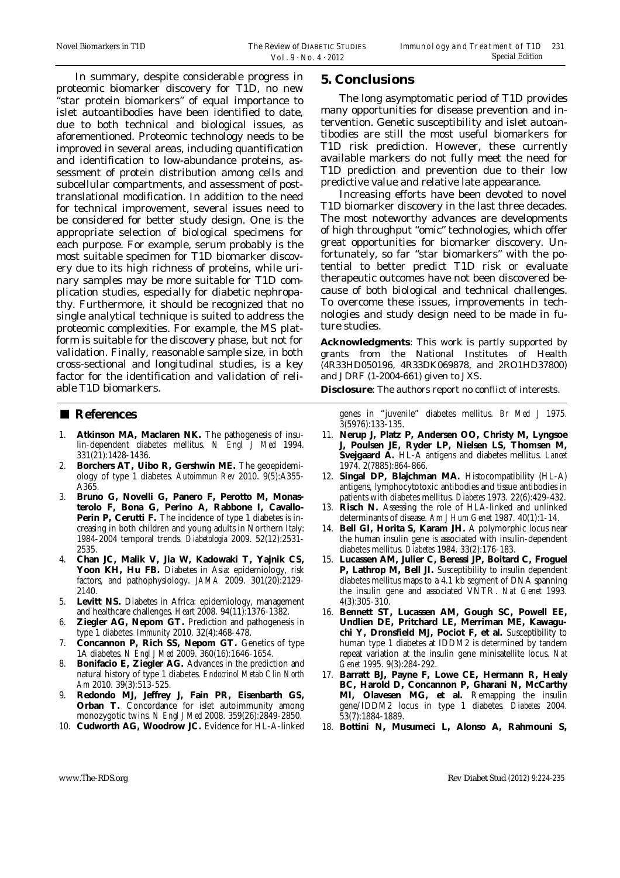In summary, despite considerable progress in proteomic biomarker discovery for T1D, no new "star protein biomarkers" of equal importance to islet autoantibodies have been identified to date, due to both technical and biological issues, as aforementioned. Proteomic technology needs to be improved in several areas, including quantification and identification to low-abundance proteins, assessment of protein distribution among cells and subcellular compartments, and assessment of posttranslational modification. In addition to the need for technical improvement, several issues need to be considered for better study design. One is the appropriate selection of biological specimens for each purpose. For example, serum probably is the most suitable specimen for T1D biomarker discovery due to its high richness of proteins, while urinary samples may be more suitable for T1D complication studies, especially for diabetic nephropathy. Furthermore, it should be recognized that no single analytical technique is suited to address the proteomic complexities. For example, the MS platform is suitable for the discovery phase, but not for validation. Finally, reasonable sample size, in both cross-sectional and longitudinal studies, is a key factor for the identification and validation of reliable T1D biomarkers.

#### ■ **References**

- 1. **Atkinson MA, Maclaren NK.** The pathogenesis of insulin-dependent diabetes mellitus. *N Engl J Med* 1994. 331(21):1428-1436.
- 2. **Borchers AT, Uibo R, Gershwin ME.** The geoepidemiology of type 1 diabetes. *Autoimmun Rev* 2010. 9(5):A355- A365.
- 3. **Bruno G, Novelli G, Panero F, Perotto M, Monasterolo F, Bona G, Perino A, Rabbone I, Cavallo-**Perin P, Cerutti F. The incidence of type 1 diabetes is increasing in both children and young adults in Northern Italy: 1984-2004 temporal trends. *Diabetologia* 2009. 52(12):2531- 2535.
- 4. **Chan JC, Malik V, Jia W, Kadowaki T, Yajnik CS,**  Yoon KH, Hu FB. Diabetes in Asia: epidemiology, risk factors, and pathophysiology. *JAMA* 2009. 301(20):2129- 2140.
- 5. **Levitt NS.** Diabetes in Africa: epidemiology, management and healthcare challenges. *Heart* 2008. 94(11):1376-1382.
- 6. **Ziegler AG, Nepom GT.** Prediction and pathogenesis in type 1 diabetes. *Immunity* 2010. 32(4):468-478.
- 7. **Concannon P, Rich SS, Nepom GT.** Genetics of type 1A diabetes. *N Engl J Med* 2009. 360(16):1646-1654.
- 8. **Bonifacio E, Ziegler AG.** Advances in the prediction and natural history of type 1 diabetes. *Endocrinol Metab Clin North Am* 2010. 39(3):513-525.
- 9. **Redondo MJ, Jeffrey J, Fain PR, Eisenbarth GS, Orban T.** Concordance for islet autoimmunity among monozygotic twins. *N Engl J Med* 2008. 359(26):2849-2850.
- 10. **Cudworth AG, Woodrow JC.** Evidence for HL-A-linked

#### **5. Conclusions**

The long asymptomatic period of T1D provides many opportunities for disease prevention and intervention. Genetic susceptibility and islet autoantibodies are still the most useful biomarkers for T1D risk prediction. However, these currently available markers do not fully meet the need for T1D prediction and prevention due to their low predictive value and relative late appearance.

Increasing efforts have been devoted to novel T1D biomarker discovery in the last three decades. The most noteworthy advances are developments of high throughput "omic" technologies, which offer great opportunities for biomarker discovery. Unfortunately, so far "star biomarkers" with the potential to better predict T1D risk or evaluate therapeutic outcomes have not been discovered because of both biological and technical challenges. To overcome these issues, improvements in technologies and study design need to be made in future studies.

**Acknowledgments**: This work is partly supported by grants from the National Institutes of Health (4R33HD050196, 4R33DK069878, and 2RO1HD37800) and JDRF (1-2004-661) given to JXS.

**Disclosure**: The authors report no conflict of interests.

genes in "juvenile" diabetes mellitus. *Br Med J* 1975. 3(5976):133-135.

- 11. **Nerup J, Platz P, Andersen OO, Christy M, Lyngsoe J, Poulsen JE, Ryder LP, Nielsen LS, Thomsen M, Svejgaard A.** HL-A antigens and diabetes mellitus. *Lancet* 1974. 2(7885):864-866.
- 12. **Singal DP, Blajchman MA.** Histocompatibility (HL-A) antigens, lymphocytotoxic antibodies and tissue antibodies in patients with diabetes mellitus. *Diabetes* 1973. 22(6):429-432.
- 13. **Risch N.** Assessing the role of HLA-linked and unlinked determinants of disease. *Am J Hum Genet* 1987. 40(1):1-14.
- 14. **Bell GI, Horita S, Karam JH.** A polymorphic locus near the human insulin gene is associated with insulin-dependent diabetes mellitus. *Diabetes* 1984. 33(2):176-183.
- 15. **Lucassen AM, Julier C, Beressi JP, Boitard C, Froguel P, Lathrop M, Bell JI.** Susceptibility to insulin dependent diabetes mellitus maps to a 4.1 kb segment of DNA spanning the insulin gene and associated VNTR. *Nat Genet* 1993. 4(3):305-310.
- 16. **Bennett ST, Lucassen AM, Gough SC, Powell EE, Undlien DE, Pritchard LE, Merriman ME, Kawaguchi Y, Dronsfield MJ, Pociot F, et al.** Susceptibility to human type 1 diabetes at IDDM2 is determined by tandem repeat variation at the insulin gene minisatellite locus. *Nat Genet* 1995. 9(3):284-292.
- 17. **Barratt BJ, Payne F, Lowe CE, Hermann R, Healy BC, Harold D, Concannon P, Gharani N, McCarthy MI, Olavesen MG, et al.** Remapping the insulin gene/IDDM2 locus in type 1 diabetes. *Diabetes* 2004. 53(7):1884-1889.
- 18. **Bottini N, Musumeci L, Alonso A, Rahmouni S,**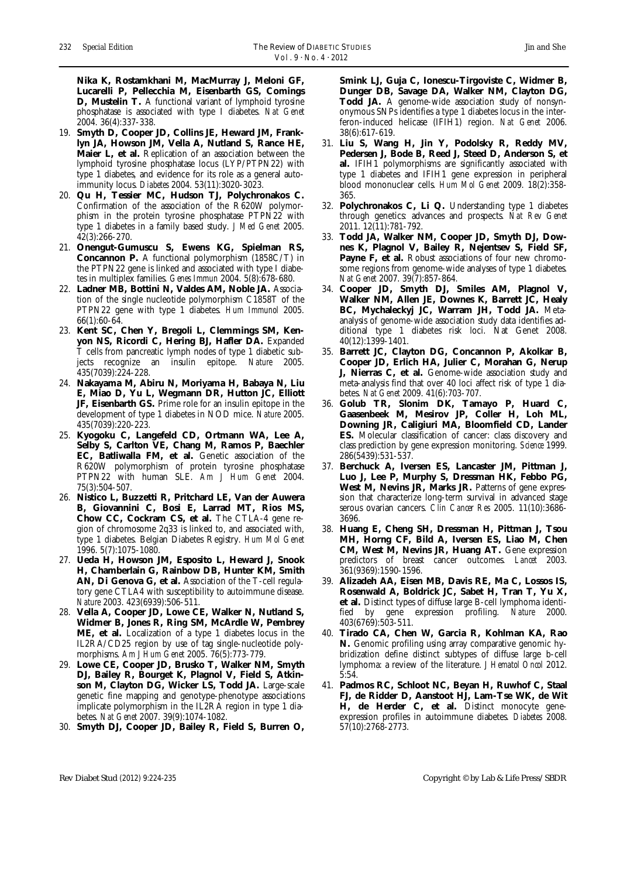**Nika K, Rostamkhani M, MacMurray J, Meloni GF, Lucarelli P, Pellecchia M, Eisenbarth GS, Comings D, Mustelin T.** A functional variant of lymphoid tyrosine phosphatase is associated with type I diabetes. *Nat Genet*  2004. 36(4):337-338.

- 19. **Smyth D, Cooper JD, Collins JE, Heward JM, Franklyn JA, Howson JM, Vella A, Nutland S, Rance HE, Maier L, et al.** Replication of an association between the lymphoid tyrosine phosphatase locus (LYP/PTPN22) with type 1 diabetes, and evidence for its role as a general autoimmunity locus. *Diabetes* 2004. 53(11):3020-3023.
- 20. **Qu H, Tessier MC, Hudson TJ, Polychronakos C.**  Confirmation of the association of the R620W polymorphism in the protein tyrosine phosphatase PTPN22 with type 1 diabetes in a family based study. *J Med Genet* 2005. 42(3):266-270.
- 21. **Onengut-Gumuscu S, Ewens KG, Spielman RS, Concannon P.** A functional polymorphism (1858C/T) in the PTPN22 gene is linked and associated with type I diabetes in multiplex families. *Genes Immun* 2004. 5(8):678-680.
- 22. **Ladner MB, Bottini N, Valdes AM, Noble JA.** Association of the single nucleotide polymorphism C1858T of the PTPN22 gene with type 1 diabetes. *Hum Immunol* 2005. 66(1):60-64.
- 23. **Kent SC, Chen Y, Bregoli L, Clemmings SM, Kenyon NS, Ricordi C, Hering BJ, Hafler DA.** Expanded T cells from pancreatic lymph nodes of type 1 diabetic subjects recognize an insulin epitope. *Nature* 2005. 435(7039):224-228.
- 24. **Nakayama M, Abiru N, Moriyama H, Babaya N, Liu E, Miao D, Yu L, Wegmann DR, Hutton JC, Elliott JF, Eisenbarth GS.** Prime role for an insulin epitope in the development of type 1 diabetes in NOD mice. *Nature* 2005. 435(7039):220-223.
- 25. **Kyogoku C, Langefeld CD, Ortmann WA, Lee A, Selby S, Carlton VE, Chang M, Ramos P, Baechler EC, Batliwalla FM, et al.** Genetic association of the R620W polymorphism of protein tyrosine phosphatase PTPN22 with human SLE. *Am J Hum Genet* 2004. 75(3):504-507.
- 26. **Nistico L, Buzzetti R, Pritchard LE, Van der Auwera B, Giovannini C, Bosi E, Larrad MT, Rios MS, Chow CC, Cockram CS, et al.** The CTLA-4 gene region of chromosome 2q33 is linked to, and associated with, type 1 diabetes. Belgian Diabetes Registry. *Hum Mol Genet*  1996. 5(7):1075-1080.
- 27. **Ueda H, Howson JM, Esposito L, Heward J, Snook H, Chamberlain G, Rainbow DB, Hunter KM, Smith AN, Di Genova G, et al.** Association of the T-cell regulatory gene CTLA4 with susceptibility to autoimmune disease. *Nature* 2003. 423(6939):506-511.
- 28. **Vella A, Cooper JD, Lowe CE, Walker N, Nutland S, Widmer B, Jones R, Ring SM, McArdle W, Pembrey ME, et al.** Localization of a type 1 diabetes locus in the IL2RA/CD25 region by use of tag single-nucleotide polymorphisms. *Am J Hum Genet* 2005. 76(5):773-779.
- 29. **Lowe CE, Cooper JD, Brusko T, Walker NM, Smyth DJ, Bailey R, Bourget K, Plagnol V, Field S, Atkinson M, Clayton DG, Wicker LS, Todd JA.** Large-scale genetic fine mapping and genotype-phenotype associations implicate polymorphism in the IL2RA region in type 1 diabetes. *Nat Genet* 2007. 39(9):1074-1082.
- 30. **Smyth DJ, Cooper JD, Bailey R, Field S, Burren O,**

**Smink LJ, Guja C, Ionescu-Tirgoviste C, Widmer B, Dunger DB, Savage DA, Walker NM, Clayton DG, Todd JA.** A genome-wide association study of nonsynonymous SNPs identifies a type 1 diabetes locus in the interferon-induced helicase (IFIH1) region. *Nat Genet* 2006. 38(6):617-619.

- 31. **Liu S, Wang H, Jin Y, Podolsky R, Reddy MV, Pedersen J, Bode B, Reed J, Steed D, Anderson S, et al.** IFIH1 polymorphisms are significantly associated with type 1 diabetes and IFIH1 gene expression in peripheral blood mononuclear cells. *Hum Mol Genet* 2009. 18(2):358- 365.
- 32. **Polychronakos C, Li Q.** Understanding type 1 diabetes through genetics: advances and prospects. *Nat Rev Genet*  2011. 12(11):781-792.
- 33. **Todd JA, Walker NM, Cooper JD, Smyth DJ, Downes K, Plagnol V, Bailey R, Nejentsev S, Field SF,**  Payne F, et al. Robust associations of four new chromosome regions from genome-wide analyses of type 1 diabetes. *Nat Genet* 2007. 39(7):857-864.
- 34. **Cooper JD, Smyth DJ, Smiles AM, Plagnol V, Walker NM, Allen JE, Downes K, Barrett JC, Healy BC, Mychaleckyj JC, Warram JH, Todd JA.** Metaanalysis of genome-wide association study data identifies additional type 1 diabetes risk loci. Nat Genet 2008. 40(12):1399-1401.
- 35. **Barrett JC, Clayton DG, Concannon P, Akolkar B, Cooper JD, Erlich HA, Julier C, Morahan G, Nerup J, Nierras C, et al.** Genome-wide association study and meta-analysis find that over 40 loci affect risk of type 1 diabetes. *Nat Genet* 2009. 41(6):703-707.
- 36. **Golub TR, Slonim DK, Tamayo P, Huard C, Gaasenbeek M, Mesirov JP, Coller H, Loh ML, Downing JR, Caligiuri MA, Bloomfield CD, Lander ES.** Molecular classification of cancer: class discovery and class prediction by gene expression monitoring. *Science* 1999. 286(5439):531-537.
- 37. **Berchuck A, Iversen ES, Lancaster JM, Pittman J, Luo J, Lee P, Murphy S, Dressman HK, Febbo PG, West M, Nevins JR, Marks JR.** Patterns of gene expression that characterize long-term survival in advanced stage serous ovarian cancers. *Clin Cancer Res* 2005. 11(10):3686- 3696.
- 38. **Huang E, Cheng SH, Dressman H, Pittman J, Tsou MH, Horng CF, Bild A, Iversen ES, Liao M, Chen CM, West M, Nevins JR, Huang AT.** Gene expression predictors of breast cancer outcomes. *Lancet* 2003. 361(9369):1590-1596.
- 39. **Alizadeh AA, Eisen MB, Davis RE, Ma C, Lossos IS, Rosenwald A, Boldrick JC, Sabet H, Tran T, Yu X, et al.** Distinct types of diffuse large B-cell lymphoma identified by gene expression profiling. *Nature* 2000. 403(6769):503-511.
- 40. **Tirado CA, Chen W, Garcia R, Kohlman KA, Rao N.** Genomic profiling using array comparative genomic hybridization define distinct subtypes of diffuse large b-cell lymphoma: a review of the literature. *J Hematol Oncol* 2012. 5:54.
- 41. **Padmos RC, Schloot NC, Beyan H, Ruwhof C, Staal FJ, de Ridder D, Aanstoot HJ, Lam-Tse WK, de Wit**  H, de Herder C, et al. Distinct monocyte geneexpression profiles in autoimmune diabetes. *Diabetes* 2008. 57(10):2768-2773.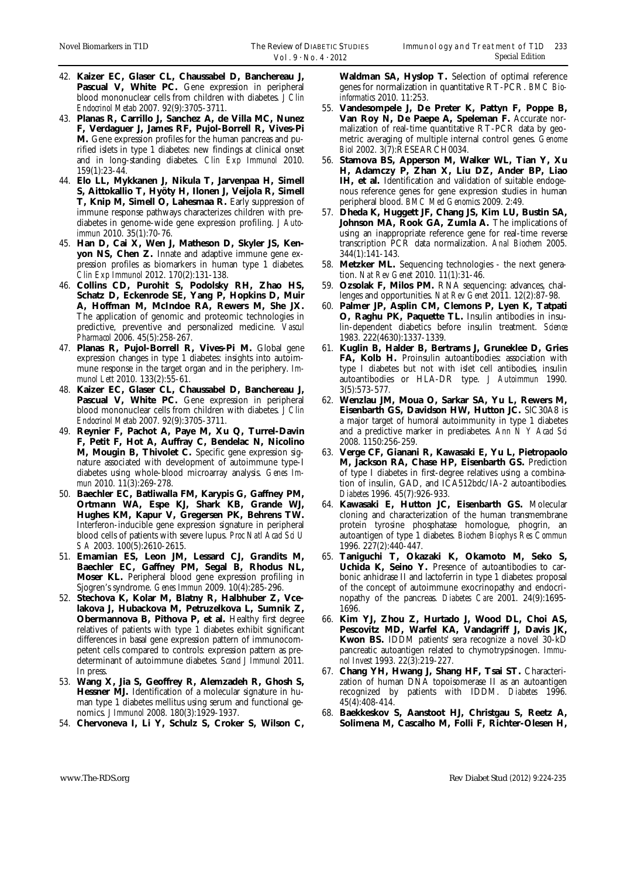- 42. **Kaizer EC, Glaser CL, Chaussabel D, Banchereau J,**  Pascual V, White PC. Gene expression in peripheral blood mononuclear cells from children with diabetes. *J Clin Endocrinol Metab* 2007. 92(9):3705-3711.
- 43. **Planas R, Carrillo J, Sanchez A, de Villa MC, Nunez F, Verdaguer J, James RF, Pujol-Borrell R, Vives-Pi M.** Gene expression profiles for the human pancreas and purified islets in type 1 diabetes: new findings at clinical onset and in long-standing diabetes. *Clin Exp Immunol* 2010. 159(1):23-44.
- 44. **Elo LL, Mykkanen J, Nikula T, Jarvenpaa H, Simell S, Aittokallio T, Hyöty H, Ilonen J, Veijola R, Simell T, Knip M, Simell O, Lahesmaa R.** Early suppression of immune response pathways characterizes children with prediabetes in genome-wide gene expression profiling. *J Autoimmun* 2010. 35(1):70-76.
- 45. **Han D, Cai X, Wen J, Matheson D, Skyler JS, Kenyon NS, Chen Z.** Innate and adaptive immune gene expression profiles as biomarkers in human type 1 diabetes. *Clin Exp Immunol* 2012. 170(2):131-138.
- 46. **Collins CD, Purohit S, Podolsky RH, Zhao HS, Schatz D, Eckenrode SE, Yang P, Hopkins D, Muir A, Hoffman M, McIndoe RA, Rewers M, She JX.**  The application of genomic and proteomic technologies in predictive, preventive and personalized medicine. *Vascul Pharmacol* 2006. 45(5):258-267.
- 47. **Planas R, Pujol-Borrell R, Vives-Pi M.** Global gene expression changes in type 1 diabetes: insights into autoimmune response in the target organ and in the periphery. *Immunol Lett* 2010. 133(2):55-61.
- 48. **Kaizer EC, Glaser CL, Chaussabel D, Banchereau J,**  Pascual V, White PC. Gene expression in peripheral blood mononuclear cells from children with diabetes. *J Clin Endocrinol Metab* 2007. 92(9):3705-3711.
- 49. **Reynier F, Pachot A, Paye M, Xu Q, Turrel-Davin F, Petit F, Hot A, Auffray C, Bendelac N, Nicolino M, Mougin B, Thivolet C.** Specific gene expression signature associated with development of autoimmune type-I diabetes using whole-blood microarray analysis. *Genes Immun* 2010. 11(3):269-278.
- 50. **Baechler EC, Batliwalla FM, Karypis G, Gaffney PM, Ortmann WA, Espe KJ, Shark KB, Grande WJ, Hughes KM, Kapur V, Gregersen PK, Behrens TW.**  Interferon-inducible gene expression signature in peripheral blood cells of patients with severe lupus. *Proc Natl Acad Sci U S A* 2003. 100(5):2610-2615.
- 51. **Emamian ES, Leon JM, Lessard CJ, Grandits M, Baechler EC, Gaffney PM, Segal B, Rhodus NL, Moser KL.** Peripheral blood gene expression profiling in Sjogren's syndrome. *Genes Immun* 2009. 10(4):285-296.
- 52. **Stechova K, Kolar M, Blatny R, Halbhuber Z, Vcelakova J, Hubackova M, Petruzelkova L, Sumnik Z, Obermannova B, Pithova P, et al.** Healthy first degree relatives of patients with type 1 diabetes exhibit significant differences in basal gene expression pattern of immunocompetent cells compared to controls: expression pattern as predeterminant of autoimmune diabetes. *Scand J Immunol* 2011. In press.
- 53. **Wang X, Jia S, Geoffrey R, Alemzadeh R, Ghosh S, Hessner MJ.** Identification of a molecular signature in human type 1 diabetes mellitus using serum and functional genomics. *J Immunol* 2008. 180(3):1929-1937.
- 54. **Chervoneva I, Li Y, Schulz S, Croker S, Wilson C,**

**Waldman SA, Hyslop T.** Selection of optimal reference genes for normalization in quantitative RT-PCR. *BMC Bioinformatics* 2010. 11:253.

- 55. **Vandesompele J, De Preter K, Pattyn F, Poppe B, Van Roy N, De Paepe A, Speleman F.** Accurate normalization of real-time quantitative RT-PCR data by geometric averaging of multiple internal control genes. *Genome Biol* 2002. 3(7):RESEARCH0034.
- 56. **Stamova BS, Apperson M, Walker WL, Tian Y, Xu H, Adamczy P, Zhan X, Liu DZ, Ander BP, Liao**  IH, et al. Identification and validation of suitable endogenous reference genes for gene expression studies in human peripheral blood. *BMC Med Genomics* 2009. 2:49.
- 57. **Dheda K, Huggett JF, Chang JS, Kim LU, Bustin SA,**  Johnson MA, Rook GA, Zumla A. The implications of using an inappropriate reference gene for real-time reverse transcription PCR data normalization. *Anal Biochem* 2005. 344(1):141-143.
- 58. **Metzker ML.** Sequencing technologies the next generation. *Nat Rev Genet* 2010. 11(1):31-46.
- 59. **Ozsolak F, Milos PM.** RNA sequencing: advances, challenges and opportunities. *Nat Rev Genet* 2011. 12(2):87-98.
- 60. **Palmer JP, Asplin CM, Clemons P, Lyen K, Tatpati O, Raghu PK, Paquette TL.** Insulin antibodies in insulin-dependent diabetics before insulin treatment. *Science* 1983. 222(4630):1337-1339.
- 61. **Kuglin B, Halder B, Bertrams J, Gruneklee D, Gries FA, Kolb H.** Proinsulin autoantibodies: association with type I diabetes but not with islet cell antibodies, insulin autoantibodies or HLA-DR type. *J Autoimmun* 1990. 3(5):573-577.
- 62. **Wenzlau JM, Moua O, Sarkar SA, Yu L, Rewers M, Eisenbarth GS, Davidson HW, Hutton JC.** SlC30A8 is a major target of humoral autoimmunity in type 1 diabetes and a predictive marker in prediabetes. *Ann N Y Acad Sci*  2008. 1150:256-259.
- 63. **Verge CF, Gianani R, Kawasaki E, Yu L, Pietropaolo M, Jackson RA, Chase HP, Eisenbarth GS.** Prediction of type I diabetes in first-degree relatives using a combination of insulin, GAD, and ICA512bdc/IA-2 autoantibodies. *Diabetes* 1996. 45(7):926-933.
- 64. **Kawasaki E, Hutton JC, Eisenbarth GS.** Molecular cloning and characterization of the human transmembrane protein tyrosine phosphatase homologue, phogrin, an autoantigen of type 1 diabetes. *Biochem Biophys Res Commun*  1996. 227(2):440-447.
- 65. **Taniguchi T, Okazaki K, Okamoto M, Seko S, Uchida K, Seino Y.** Presence of autoantibodies to carbonic anhidrase II and lactoferrin in type 1 diabetes: proposal of the concept of autoimmune exocrinopathy and endocrinopathy of the pancreas. *Diabetes Care* 2001. 24(9):1695- 1696.
- 66. **Kim YJ, Zhou Z, Hurtado J, Wood DL, Choi AS, Pescovitz MD, Warfel KA, Vandagriff J, Davis JK, Kwon BS.** IDDM patients' sera recognize a novel 30-kD pancreatic autoantigen related to chymotrypsinogen. *Immunol Invest* 1993. 22(3):219-227.
- 67. **Chang YH, Hwang J, Shang HF, Tsai ST.** Characterization of human DNA topoisomerase II as an autoantigen recognized by patients with IDDM. *Diabetes* 1996. 45(4):408-414.
- 68. **Baekkeskov S, Aanstoot HJ, Christgau S, Reetz A, Solimena M, Cascalho M, Folli F, Richter-Olesen H,**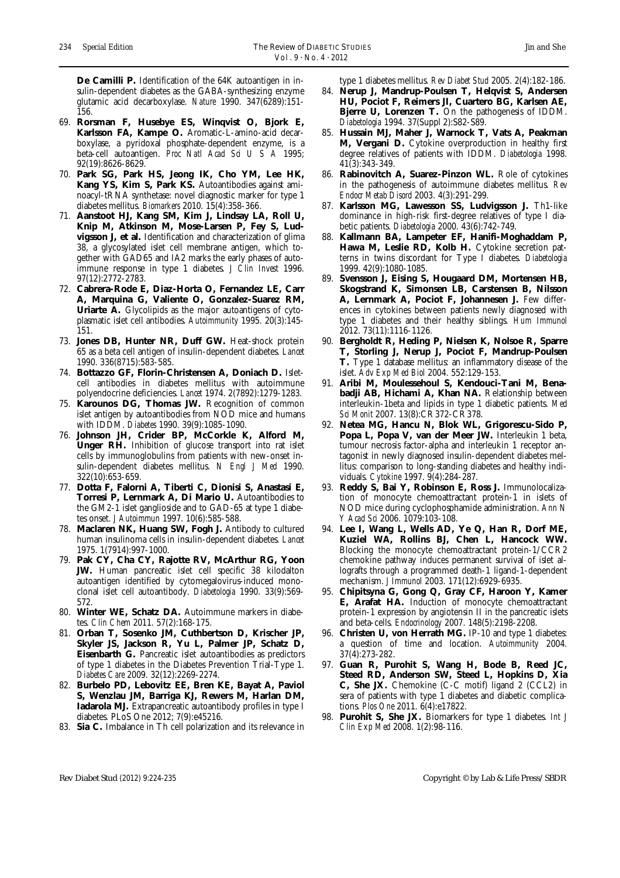**De Camilli P.** Identification of the 64K autoantigen in insulin-dependent diabetes as the GABA-synthesizing enzyme glutamic acid decarboxylase. *Nature* 1990. 347(6289):151- 156.

- 69. **Rorsman F, Husebye ES, Winqvist O, Bjork E, Karlsson FA, Kampe O.** Aromatic-L-amino-acid decarboxylase, a pyridoxal phosphate-dependent enzyme, is a beta-cell autoantigen. *Proc Natl Acad Sci U S A* 1995; 92(19):8626-8629.
- 70. **Park SG, Park HS, Jeong IK, Cho YM, Lee HK, Kang YS, Kim S, Park KS.** Autoantibodies against aminoacyl-tRNA synthetase: novel diagnostic marker for type 1 diabetes mellitus. *Biomarkers* 2010. 15(4):358-366.
- 71. **Aanstoot HJ, Kang SM, Kim J, Lindsay LA, Roll U, Knip M, Atkinson M, Mose-Larsen P, Fey S, Ludvigsson J, et al.** Identification and characterization of glima 38, a glycosylated islet cell membrane antigen, which together with GAD65 and IA2 marks the early phases of autoimmune response in type 1 diabetes. *J Clin Invest* 1996. 97(12):2772-2783.
- 72. **Cabrera-Rode E, Diaz-Horta O, Fernandez LE, Carr A, Marquina G, Valiente O, Gonzalez-Suarez RM, Uriarte A.** Glycolipids as the major autoantigens of cytoplasmatic islet cell antibodies. *Autoimmunity* 1995. 20(3):145- 151.
- 73. **Jones DB, Hunter NR, Duff GW.** Heat-shock protein 65 as a beta cell antigen of insulin-dependent diabetes. *Lancet* 1990. 336(8715):583-585.
- 74. **Bottazzo GF, Florin-Christensen A, Doniach D.** Isletcell antibodies in diabetes mellitus with autoimmune polyendocrine deficiencies. *Lancet* 1974. 2(7892):1279-1283.
- 75. **Karounos DG, Thomas JW.** Recognition of common islet antigen by autoantibodies from NOD mice and humans with IDDM. *Diabetes* 1990. 39(9):1085-1090.
- 76. **Johnson JH, Crider BP, McCorkle K, Alford M, Unger RH.** Inhibition of glucose transport into rat islet cells by immunoglobulins from patients with new-onset insulin-dependent diabetes mellitus. *N Engl J Med* 1990. 322(10):653-659.
- 77. **Dotta F, Falorni A, Tiberti C, Dionisi S, Anastasi E,**  Torresi P, Lernmark A, Di Mario U. Autoantibodies to the GM2-1 islet ganglioside and to GAD-65 at type 1 diabetes onset. *J Autoimmun* 1997. 10(6):585-588.
- 78. **Maclaren NK, Huang SW, Fogh J.** Antibody to cultured human insulinoma cells in insulin-dependent diabetes. *Lancet* 1975. 1(7914):997-1000.
- 79. **Pak CY, Cha CY, Rajotte RV, McArthur RG, Yoon JW.** Human pancreatic islet cell specific 38 kilodalton autoantigen identified by cytomegalovirus-induced monoclonal islet cell autoantibody. *Diabetologia* 1990. 33(9):569- 572.
- 80. **Winter WE, Schatz DA.** Autoimmune markers in diabetes. *Clin Chem* 2011. 57(2):168-175.
- 81. **Orban T, Sosenko JM, Cuthbertson D, Krischer JP, Skyler JS, Jackson R, Yu L, Palmer JP, Schatz D, Eisenbarth G.** Pancreatic islet autoantibodies as predictors of type 1 diabetes in the Diabetes Prevention Trial-Type 1. *Diabetes Care* 2009. 32(12):2269-2274.
- 82. **Burbelo PD, Lebovitz EE, Bren KE, Bayat A, Paviol S, Wenzlau JM, Barriga KJ, Rewers M, Harlan DM, Iadarola MJ.** Extrapancreatic autoantibody profiles in type I diabetes. PLoS One 2012; 7(9):e45216.
- 83. **Sia C.** Imbalance in Th cell polarization and its relevance in

type 1 diabetes mellitus. *Rev Diabet Stud* 2005. 2(4):182-186.

- 84. **Nerup J, Mandrup-Poulsen T, Helqvist S, Andersen HU, Pociot F, Reimers JI, Cuartero BG, Karlsen AE, Bjerre U, Lorenzen T.** On the pathogenesis of IDDM. *Diabetologia* 1994. 37(Suppl 2):S82-S89.
- 85. **Hussain MJ, Maher J, Warnock T, Vats A, Peakman M, Vergani D.** Cytokine overproduction in healthy first degree relatives of patients with IDDM. *Diabetologia* 1998. 41(3):343-349.
- 86. **Rabinovitch A, Suarez-Pinzon WL.** Role of cytokines in the pathogenesis of autoimmune diabetes mellitus. *Rev Endocr Metab Disord* 2003. 4(3):291-299.
- 87. Karlsson MG, Lawesson SS, Ludvigsson J. Th1-like dominance in high-risk first-degree relatives of type I diabetic patients. *Diabetologia* 2000. 43(6):742-749.
- 88. **Kallmann BA, Lampeter EF, Hanifi-Moghaddam P,**  Hawa M, Leslie RD, Kolb H. Cytokine secretion patterns in twins discordant for Type I diabetes. *Diabetologia* 1999. 42(9):1080-1085.
- 89. **Svensson J, Eising S, Hougaard DM, Mortensen HB, Skogstrand K, Simonsen LB, Carstensen B, Nilsson A, Lernmark A, Pociot F, Johannesen J.** Few differences in cytokines between patients newly diagnosed with type 1 diabetes and their healthy siblings. *Hum Immunol*  2012. 73(11):1116-1126.
- 90. **Bergholdt R, Heding P, Nielsen K, Nolsoe R, Sparre T, Storling J, Nerup J, Pociot F, Mandrup-Poulsen T.** Type 1 database mellitus: an inflammatory disease of the islet. *Adv Exp Med Biol* 2004. 552:129-153.
- 91. **Aribi M, Moulessehoul S, Kendouci-Tani M, Benabadji AB, Hichami A, Khan NA.** Relationship between interleukin-1beta and lipids in type 1 diabetic patients. *Med Sci Monit* 2007. 13(8):CR372-CR378.
- 92. **Netea MG, Hancu N, Blok WL, Grigorescu-Sido P, Popa L, Popa V, van der Meer JW.** Interleukin 1 beta, tumour necrosis factor-alpha and interleukin 1 receptor antagonist in newly diagnosed insulin-dependent diabetes mellitus: comparison to long-standing diabetes and healthy individuals. *Cytokine* 1997. 9(4):284-287.
- 93. **Reddy S, Bai Y, Robinson E, Ross J.** Immunolocalization of monocyte chemoattractant protein-1 in islets of NOD mice during cyclophosphamide administration. *Ann N Y Acad Sci* 2006. 1079:103-108.
- 94. **Lee I, Wang L, Wells AD, Ye Q, Han R, Dorf ME, Kuziel WA, Rollins BJ, Chen L, Hancock WW.**  Blocking the monocyte chemoattractant protein-1/CCR2 chemokine pathway induces permanent survival of islet allografts through a programmed death-1 ligand-1-dependent mechanism. *J Immunol* 2003. 171(12):6929-6935.
- 95. **Chipitsyna G, Gong Q, Gray CF, Haroon Y, Kamer E, Arafat HA.** Induction of monocyte chemoattractant protein-1 expression by angiotensin II in the pancreatic islets and beta-cells. *Endocrinology* 2007. 148(5):2198-2208.
- 96. **Christen U, von Herrath MG.** IP-10 and type 1 diabetes: a question of time and location. *Autoimmunity* 2004. 37(4):273-282.
- 97. **Guan R, Purohit S, Wang H, Bode B, Reed JC, Steed RD, Anderson SW, Steed L, Hopkins D, Xia C, She JX.** Chemokine (C-C motif) ligand 2 (CCL2) in sera of patients with type 1 diabetes and diabetic complications. *Plos One* 2011. 6(4):e17822.
- Purohit S, She JX. Biomarkers for type 1 diabetes. *Int J Clin Exp Med* 2008. 1(2):98-116.

Rev Diabet Stud (2012) 9:224-235 Copyright © by Lab & Life Press/SBDR